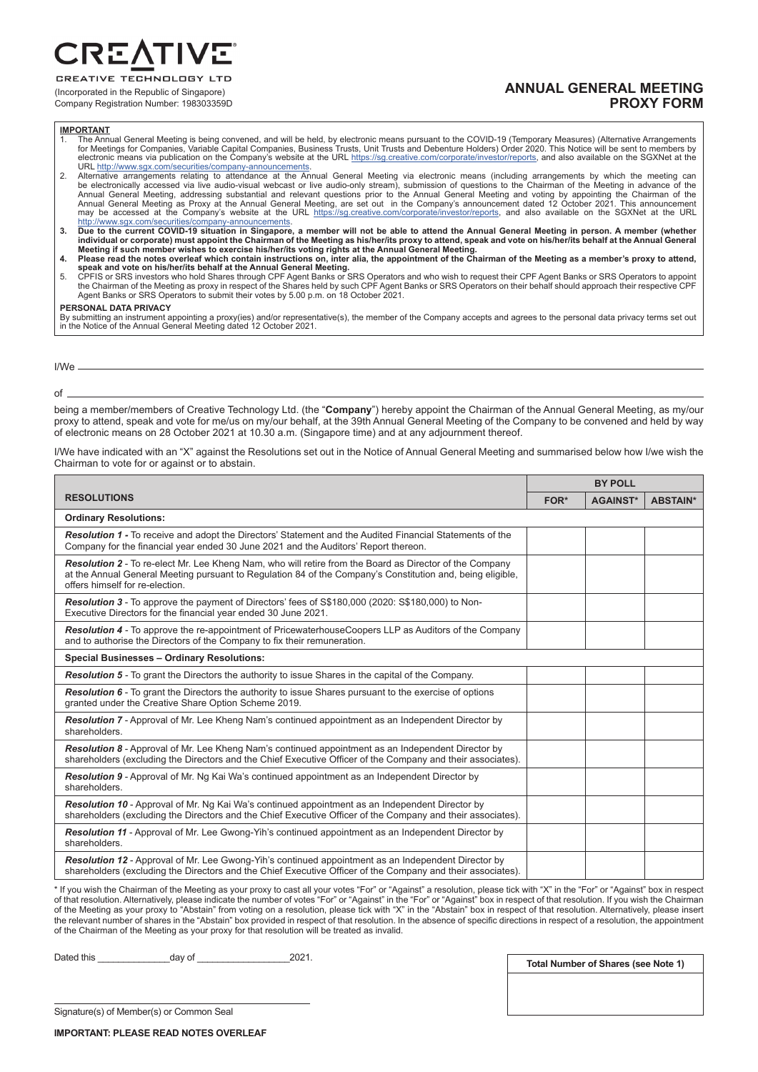RE,

**CREATIVE TECHNOLOGY LTD** (Incorporated in the Republic of Singapore)

Company Registration Number: 198303359D

## **ANNUAL GENERAL MEETING PROXY FORM**

### **IMPORTANT**

- The Annual General Meeting is being convened, and will be held, by electronic means pursuant to the COVID-19 (Temporary Measures) (Alternative Arrangements<br>for Meetings for Companies, Variable Capital Companies, Business T URL http://www.sgx.com/securities/company-announcements.
- 2. Alternative arrangements relating to attendance at the Annual General Meeting via electronic means (including arrangements by which the meeting can<br>be electronically accessed via live audio-visual webcast or live audiomay be accessed at the Company's website at the URL https://sg.creative.com/corporate/investor/reports, and also available on the SGXNet at the URL http://www.sqx.com/securities/company-announcements.
- http://www.sgx.com/securities/company-announcements.<br>Due to the current COVID-19 situation in Singapore, a member will not be able to attend the Annual General Meeting in person. A member (whether<br>individual or corporate)
- 
- speak and vote on his/her/its behalf at the Annual General Meeting.<br>5. CPFIS or SRS investors who hold Shares through CPF Agent Banks or SRS Operators and who wish to request their CPF Agent Banks or SRS Operators to appoi

### **PERSONAL DATA PRIVACY**

By submitting an instrument appointing a proxy(ies) and/or representative(s), the member of the Company accepts and agrees to the personal data privacy terms set out<br>in the Notice of the Annual General Meeting dated 12 Oct

### I/We

of

being a member/members of Creative Technology Ltd. (the "**Company**") hereby appoint the Chairman of the Annual General Meeting, as my/our proxy to attend, speak and vote for me/us on my/our behalf, at the 39th Annual General Meeting of the Company to be convened and held by way of electronic means on 28 October 2021 at 10.30 a.m. (Singapore time) and at any adjournment thereof.

I/We have indicated with an "X" against the Resolutions set out in the Notice of Annual General Meeting and summarised below how I/we wish the Chairman to vote for or against or to abstain.

|                                                                                                                                                                                                                                                          | <b>BY POLL</b> |                 |                 |
|----------------------------------------------------------------------------------------------------------------------------------------------------------------------------------------------------------------------------------------------------------|----------------|-----------------|-----------------|
| <b>RESOLUTIONS</b>                                                                                                                                                                                                                                       | FOR*           | <b>AGAINST*</b> | <b>ABSTAIN*</b> |
| <b>Ordinary Resolutions:</b>                                                                                                                                                                                                                             |                |                 |                 |
| Resolution 1 - To receive and adopt the Directors' Statement and the Audited Financial Statements of the<br>Company for the financial year ended 30 June 2021 and the Auditors' Report thereon.                                                          |                |                 |                 |
| Resolution 2 - To re-elect Mr. Lee Kheng Nam, who will retire from the Board as Director of the Company<br>at the Annual General Meeting pursuant to Regulation 84 of the Company's Constitution and, being eligible,<br>offers himself for re-election. |                |                 |                 |
| <b>Resolution 3</b> - To approve the payment of Directors' fees of S\$180,000 (2020: S\$180,000) to Non-<br>Executive Directors for the financial year ended 30 June 2021.                                                                               |                |                 |                 |
| Resolution 4 - To approve the re-appointment of PricewaterhouseCoopers LLP as Auditors of the Company<br>and to authorise the Directors of the Company to fix their remuneration.                                                                        |                |                 |                 |
| <b>Special Businesses - Ordinary Resolutions:</b>                                                                                                                                                                                                        |                |                 |                 |
| <b>Resolution 5</b> - To grant the Directors the authority to issue Shares in the capital of the Company.                                                                                                                                                |                |                 |                 |
| Resolution 6 - To grant the Directors the authority to issue Shares pursuant to the exercise of options<br>granted under the Creative Share Option Scheme 2019.                                                                                          |                |                 |                 |
| Resolution 7 - Approval of Mr. Lee Kheng Nam's continued appointment as an Independent Director by<br>shareholders.                                                                                                                                      |                |                 |                 |
| <b>Resolution 8</b> - Approval of Mr. Lee Kheng Nam's continued appointment as an Independent Director by<br>shareholders (excluding the Directors and the Chief Executive Officer of the Company and their associates).                                 |                |                 |                 |
| <b>Resolution 9</b> - Approval of Mr. Ng Kai Wa's continued appointment as an Independent Director by<br>shareholders.                                                                                                                                   |                |                 |                 |
| <b>Resolution 10</b> - Approval of Mr. Ng Kai Wa's continued appointment as an Independent Director by<br>shareholders (excluding the Directors and the Chief Executive Officer of the Company and their associates).                                    |                |                 |                 |
| <b>Resolution 11</b> - Approval of Mr. Lee Gwong-Yih's continued appointment as an Independent Director by<br>shareholders.                                                                                                                              |                |                 |                 |
| <b>Resolution 12</b> - Approval of Mr. Lee Gwong-Yih's continued appointment as an Independent Director by<br>shareholders (excluding the Directors and the Chief Executive Officer of the Company and their associates).                                |                |                 |                 |

\* If you wish the Chairman of the Meeting as your proxy to cast all your votes "For" or "Against" a resolution, please tick with "X" in the "For" or "Against" box in respect of that resolution. Alternatively, please indicate the number of votes "For" or "Against" in the "For" or "Against" box in respect of that resolution. If you wish the Chairman of the Meeting as your proxy to "Abstain" from voting on a resolution, please tick with "X" in the "Abstain" box in respect of that resolution. Alternatively, please insert the relevant number of shares in the "Abstain" box provided in respect of that resolution. In the absence of specific directions in respect of a resolution, the appointment of the Chairman of the Meeting as your proxy for that resolution will be treated as invalid.

Dated this \_\_\_\_\_\_\_\_\_\_\_\_\_\_day of \_\_\_\_\_\_\_\_\_\_\_\_\_\_\_\_\_\_2021.

**Total Number of Shares (see Note 1)**

Signature(s) of Member(s) or Common Seal